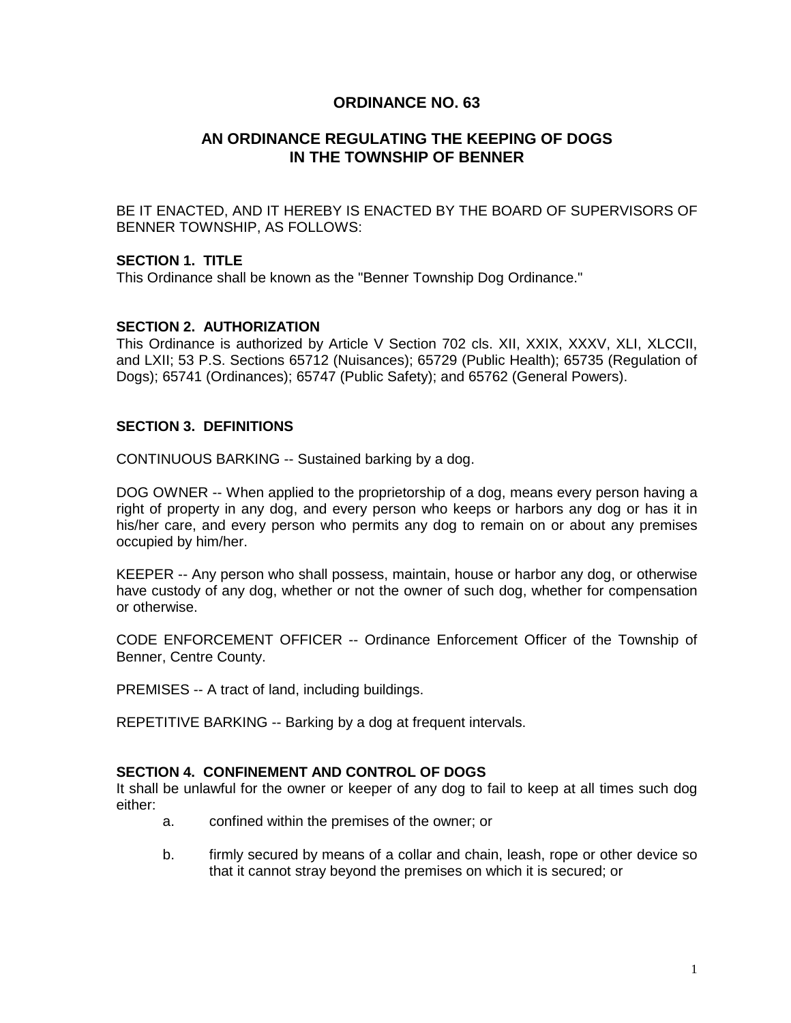# **ORDINANCE NO. 63**

# **AN ORDINANCE REGULATING THE KEEPING OF DOGS IN THE TOWNSHIP OF BENNER**

BE IT ENACTED, AND IT HEREBY IS ENACTED BY THE BOARD OF SUPERVISORS OF BENNER TOWNSHIP, AS FOLLOWS:

### **SECTION 1. TITLE**

This Ordinance shall be known as the "Benner Township Dog Ordinance."

### **SECTION 2. AUTHORIZATION**

This Ordinance is authorized by Article V Section 702 cls. XII, XXIX, XXXV, XLI, XLCCII, and LXII; 53 P.S. Sections 65712 (Nuisances); 65729 (Public Health); 65735 (Regulation of Dogs); 65741 (Ordinances); 65747 (Public Safety); and 65762 (General Powers).

### **SECTION 3. DEFINITIONS**

CONTINUOUS BARKING -- Sustained barking by a dog.

DOG OWNER -- When applied to the proprietorship of a dog, means every person having a right of property in any dog, and every person who keeps or harbors any dog or has it in his/her care, and every person who permits any dog to remain on or about any premises occupied by him/her.

KEEPER -- Any person who shall possess, maintain, house or harbor any dog, or otherwise have custody of any dog, whether or not the owner of such dog, whether for compensation or otherwise.

CODE ENFORCEMENT OFFICER -- Ordinance Enforcement Officer of the Township of Benner, Centre County.

PREMISES -- A tract of land, including buildings.

REPETITIVE BARKING -- Barking by a dog at frequent intervals.

#### **SECTION 4. CONFINEMENT AND CONTROL OF DOGS**

It shall be unlawful for the owner or keeper of any dog to fail to keep at all times such dog either:

- a. confined within the premises of the owner; or
- b. firmly secured by means of a collar and chain, leash, rope or other device so that it cannot stray beyond the premises on which it is secured; or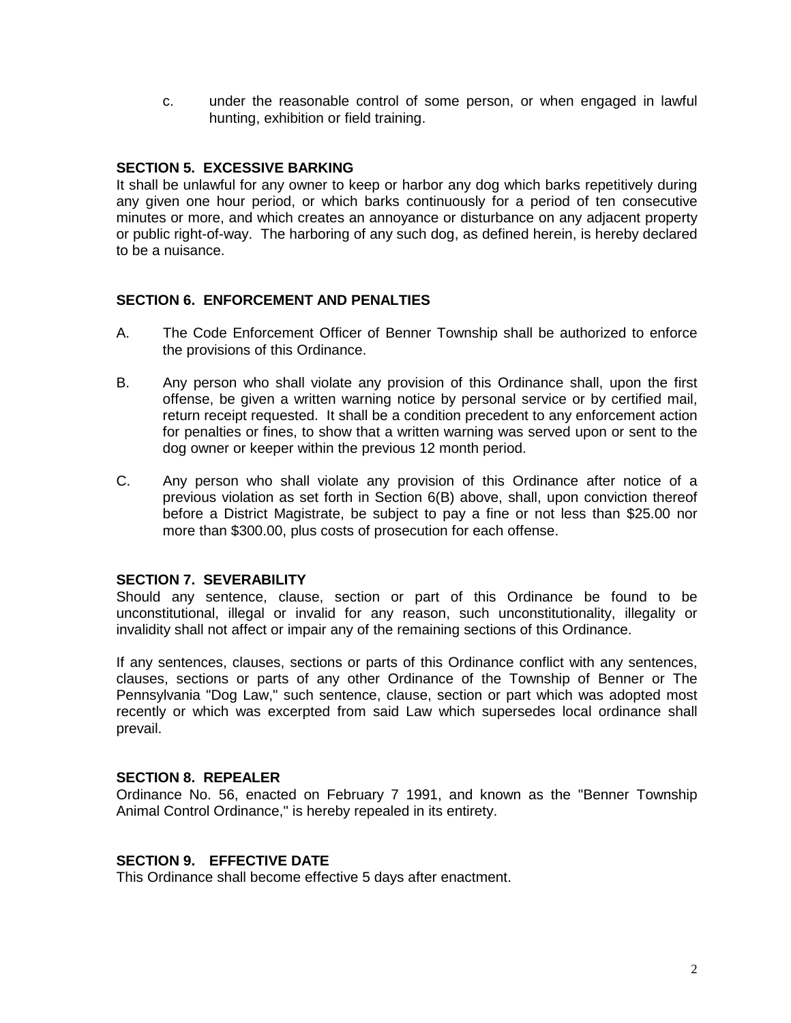c. under the reasonable control of some person, or when engaged in lawful hunting, exhibition or field training.

### **SECTION 5. EXCESSIVE BARKING**

It shall be unlawful for any owner to keep or harbor any dog which barks repetitively during any given one hour period, or which barks continuously for a period of ten consecutive minutes or more, and which creates an annoyance or disturbance on any adjacent property or public right-of-way. The harboring of any such dog, as defined herein, is hereby declared to be a nuisance.

### **SECTION 6. ENFORCEMENT AND PENALTIES**

- A. The Code Enforcement Officer of Benner Township shall be authorized to enforce the provisions of this Ordinance.
- B. Any person who shall violate any provision of this Ordinance shall, upon the first offense, be given a written warning notice by personal service or by certified mail, return receipt requested. It shall be a condition precedent to any enforcement action for penalties or fines, to show that a written warning was served upon or sent to the dog owner or keeper within the previous 12 month period.
- C. Any person who shall violate any provision of this Ordinance after notice of a previous violation as set forth in Section 6(B) above, shall, upon conviction thereof before a District Magistrate, be subject to pay a fine or not less than \$25.00 nor more than \$300.00, plus costs of prosecution for each offense.

## **SECTION 7. SEVERABILITY**

Should any sentence, clause, section or part of this Ordinance be found to be unconstitutional, illegal or invalid for any reason, such unconstitutionality, illegality or invalidity shall not affect or impair any of the remaining sections of this Ordinance.

If any sentences, clauses, sections or parts of this Ordinance conflict with any sentences, clauses, sections or parts of any other Ordinance of the Township of Benner or The Pennsylvania "Dog Law," such sentence, clause, section or part which was adopted most recently or which was excerpted from said Law which supersedes local ordinance shall prevail.

#### **SECTION 8. REPEALER**

Ordinance No. 56, enacted on February 7 1991, and known as the "Benner Township Animal Control Ordinance," is hereby repealed in its entirety.

## **SECTION 9. EFFECTIVE DATE**

This Ordinance shall become effective 5 days after enactment.